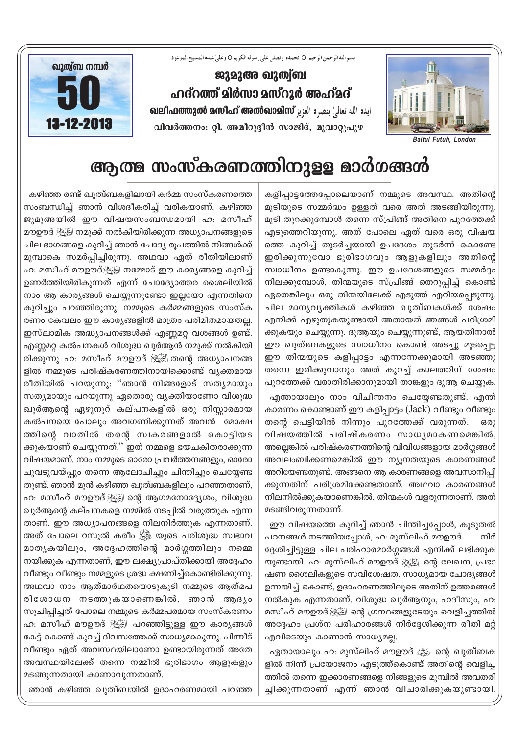

ജുമുഅ ഖുത്വ്ബ ഹദ്റത്ത് മിർസാ മസ്റൂർ അഹ്മദ് வுடிவிவை உஸிவீ எனைவைவிஸ் بنصره العزيز விடி വിവർത്തനം: റ്റി. അമീറുദ്ദീൻ സാജിദ്, മൂവാറ്റുപുഴ

بسم الله الرحمن الرحيم O نحمده ونصلي على رسوله الكريم O وعلى عبده المسيح الموعود



## ആത്മ സംസ്കരണത്തിനുള്ള മാർഗങ്ങൾ

കളിപ്പാട്ടത്തേപ്പോലെയാണ് നമ്മുടെ അവസ്ഥ. അതിന്റെ മൂടിയുടെ സമ്മർദ്ധം ഉള്ളത് വരെ അത് അടങ്ങിയിരുന്നു. മൂടി തുറക്കുമ്പോൾ തന്നെ സ്പ്രിങ്ങ് അതിനെ പുറത്തേക്ക് എടുത്തെറിയുന്നു. അത് പോലെ ഏത് വരെ ഒരു വിഷയ ത്തെ കുറിച്ച് തുടർച്ചയായി ഉപദേശം തുടർന്ന് കൊണ്ടേ ഇരിക്കുന്നുവോ ഭൂരിഭാഗവും ആളുകളിലും അതിന്റെ സ്വാധീനം ഉണ്ടാകുന്നു. ഈ ഉപദേശങ്ങളുടെ സമ്മർദ്ദം നിലക്കുമ്പോൾ, തിന്മയുടെ സ്പ്രിങ്ങ് തെറുപ്പിച്ച് കൊണ്ട് ഏതെങ്കിലും ഒരു തിന്മയിലേക്ക് എടുത്ത് എറിയപ്പെടുന്നു. ചില മാന്യവ്യക്തികൾ കഴിഞ്ഞ ഖുത്വബകൾക്ക് ശേഷം എനിക്ക് എഴുതുകയുണ്ടായി അതായത് ഞങ്ങൾ പരിശ്രമി ക്കുകയും ചെയ്യുന്നു. ദുആയും ചെയ്യുന്നുണ്ട്, ആയതിനാൽ ഈ ഖുത്ഥപകളുടെ സ്വാധീനം കൊണ്ട് അടച്ചു മൂടപ്പെട്ട ഈ തിന്മയുടെ കളിപ്പാട്ടം എന്നന്നേക്കുമായി അടഞ്ഞു തന്നെ ഇരിക്കുവാനും അത് കുറച്ച് കാലത്തിന് ശേഷം പുറത്തേക്ക് വരാതിരിക്കാനുമായി താങ്കളും ദുആ ചെയ്യുക.

എന്തായാലും നാം വിചിന്തനം ചെയ്യേണ്ടതുണ്ട്. എന്ത് കാരണം കൊണ്ടാണ് ഈ കളിപ്പാട്ടം (Jack) വീണ്ടും വീണ്ടും തന്റെ പെട്ടിയിൽ നിന്നും പുറത്തേക്ക് വരുന്നത്. ഒരു വിഷയത്തിൽ പരിഷ്കരണം സാധ്യമാകണമെങ്കിൽ, അല്ലെങ്കിൽ പരിഷ്കരണത്തിന്റെ വിവിധങ്ങളായ മാർഗ്ഗങ്ങൾ അവലംബിക്കണമെങ്കിൽ ഈ ന്യൂനതയുടെ കാരണങ്ങൾ അറിയേണ്ടതുണ്ട്. അങ്ങനെ ആ കാരണങ്ങളെ അവസാനിപ്പി ക്കുന്നതിന് പരിശ്രമിക്കേണ്ടതാണ്. അഥവാ കാരണങ്ങൾ നിലനിൽക്കുകയാണെങ്കിൽ, തിന്മകൾ വളരുന്നതാണ്. അത് മടങ്ങിവരുന്നതാണ്.

ഈ വിഷയത്തെ കുറിച്ച് ഞാൻ ചിന്തിച്ചപ്പോൾ, കൂടുതൽ പഠനങ്ങൾ നടത്തിയപ്പോൾ, ഹ: മുസ്ലിഹ് മൗഊദ് നിർ ദ്ദേശിച്ചിട്ടുള്ള ചില പരിഹാരമാർഗ്ഗങ്ങൾ എനിക്ക് ലഭിക്കുക യുണ്ടായി. ഹ. മുസ്ലിഹ് മൗഊദ് ൃ്ധ്യി ന്റെ ലേഖന, പ്രഭാ ഷണ ശൈലികളുടെ സവിശേഷത, സാധ്യമായ ചോദ്യങ്ങൾ ഉന്നയിച്ച് കൊണ്ട്, ഉദാഹരണത്തിലൂടെ അതിന് ഉത്തരങ്ങൾ നൽകുക എന്നതാണ്. വിശുദ്ധ ഖുർആനും, ഹദീസും, ഹ: മസീഹ് മൗഊദ് ﷺ ന്റെ ഗ്രന്ഥങ്ങളുടേയും വെളിച്ചത്തിൽ അദ്ദേഹം പ്രശ്ന പരിഹാരങ്ങൾ നിർദ്ദേശിക്കുന്ന രീതി മറ്റ് എവിടെയും കാണാൻ സാധ്യമല്ല.

ഏതായാലും ഹ. മുസ്ലിഹ് മൗഊദ് ക്ക് ന്റെ ഖുത്ബക ളിൽ നിന്ന് പ്രയോജനം എടുത്ത്കൊണ്ട് അതിന്റെ വെളിച്ച ത്തിൽ തന്നെ ഇക്കാരണങ്ങളെ നിങ്ങളുടെ മുമ്പിൽ അവതരി ച്ചിക്കുന്നതാണ് എന്ന് ഞാൻ വിചാരിക്കുകയുണ്ടായി.

കഴിഞ്ഞ രണ്ട് ഖുത്വബകളിലായി കർമ്മ സംസ്കരണത്തെ സംബന്ധിച്ച് ഞാൻ വിശദീകരിച്ച് വരികയാണ്. കഴിഞ്ഞ ജുമുഅയിൽ ഈ വിഷയസംബന്ധമായി ഹ. മസീഹ് മൗഊദ് ﷺ നമുക്ക് നൽകിയിരിക്കുന്ന അധ്യാപനങ്ങളുടെ ചില ഭാഗങ്ങളെ കുറിച്ച് ഞാൻ ചോദ്യ രുപത്തിൽ നിങ്ങൾക്ക് മുമ്പാകെ സമർപ്പിച്ചിരുന്നു. അഥവാ ഏത് രീതിയിലാണ് ഹ. മസീഹ് മൗഊദ്;∰്ല്ല നമ്മോട് ഈ കാരൃങ്ങളെ കുറിച്ച് ഉണർത്തിയിരികുന്നത് എന്ന് ചോദ്യോത്തര ശൈലിയിൽ നാം ആ കാര്യങ്ങൾ ചെയ്യുന്നുണ്ടോ ഇല്ലയോ എന്നതിനെ കുറിച്ചും പറഞ്ഞിരുന്നു. നമ്മുടെ കർമ്മങ്ങളുടെ സംസ്ക രണം കേവലം ഈ കാര്യങ്ങളിൽ മാത്രം പരിമിതമായതല്ല. ഇസ്ലാമിക അദ്ധ്യാപനങ്ങൾക്ക് എണ്ണമറ്റ വശങ്ങൾ ഉണ്ട്. എണ്ണമറ്റ കൽപനകൾ വിശുദ്ധ ഖുർആൻ നമുക്ക് നൽകിയി രിക്കുന്നു ഹ: മസീഹ് മൗഊദ് ൃ്്ട്ട്രി തന്റെ അധ്യാപനങ്ങ ളിൽ നമ്മുടെ പരിഷ്കരണത്തിനായിക്കൊണ്ട് വ്യക്തമായ രീതിയിൽ പറയുന്നു: ''ഞാൻ നിങ്ങളോട് സത്യമായും സത്യമായും പറയുന്നു ഏതൊരു വ്യക്തിയാണോ വിശുദ്ധ ഖുർആന്റെ ഏഴുനൂറ് കല്പനകളിൽ ഒരു നിസ്സാരമായ കൽപനയെ പോലും അവഗണിക്കുന്നത് അവൻ മോക്ഷ ത്തിന്റെ വാതിൽ തന്റെ സ്വകരങ്ങളാൽ കൊട്ടിയട ക്കുകയാണ് ചെയ്യുന്നത്.'' ഇത് നമ്മളെ ഭയചകിതരാക്കുന്ന വിഷയമാണ്. നാം നമ്മുടെ ഓരോ പ്രവർത്തനങ്ങളും, ഓരോ ചുവടുവയ്പ്പും തന്നെ ആലോചിച്ചും ചിന്തിച്ചും ചെയ്യേണ്ട തുണ്ട്. ഞാൻ മുൻ കഴിഞ്ഞ ഖുത്വബകളിലും പറഞ്ഞതാണ്, ഹ: മസീഹ് മൗഊദ് ﷺ ന്റെ ആഗമനോദ്ദ്യേശം, വിശുദ്ധ ഖുർആന്റെ കല്പനകളെ നമ്മിൽ നടപ്പിൽ വരുത്തുക എന്ന താണ്. ഈ അധ്യാപനങ്ങളെ നിലനിർത്തുക എന്നതാണ്. അത് പോലെ റസൂൽ കരീം ﷺ യുടെ പരിശുദ്ധ സ്വഭാവ മാതൃകയിലും, അദ്ദേഹത്തിന്റെ മാർഗ്ഗത്തിലും നമ്മെ നയിക്കുക എന്നതാണ്, ഈ ലക്ഷ്യപ്രാപ്തിക്കായി അദ്ദേഹം വീണ്ടും വീണ്ടും നമ്മളുടെ ശ്രദ്ധ ക്ഷണിച്ച്കൊണ്ടിരിക്കുന്നു. അഥവാ നാം ആത്മാർഥതയൊടുകൂടി നമ്മുടെ ആത്മപ രിശോധന നടത്തുകയാണെങ്കിൽ, ഞാൻ ആദ്യം സൂചിപ്പിച്ചത് പോലെ നമ്മുടെ കർമ്മപരമായ സംസ്കരണം ഹ: മസീഹ് മൗഊദ് ﷺ പറഞ്ഞിട്ടുള്ള ഈ കാര്യങ്ങൾ കേട്ട് കൊണ്ട് കുറച്ച് ദിവസത്തേക്ക് സാധ്യമാകുന്നു. പിന്നീട് വീണ്ടും ഏത് അവസ്ഥയിലാണോ ഉണ്ടായിരുന്നത് അതേ അവസ്ഥയിലേക്ക് തന്നെ നമ്മിൽ ഭൂരിഭാഗം ആളുകളും മടങ്ങുന്നതായി കാണാവുന്നതാണ്.

ഞാൻ കഴിഞ്ഞ ഖുത്വയിൽ ഉദാഹരണമായി പറഞ്ഞ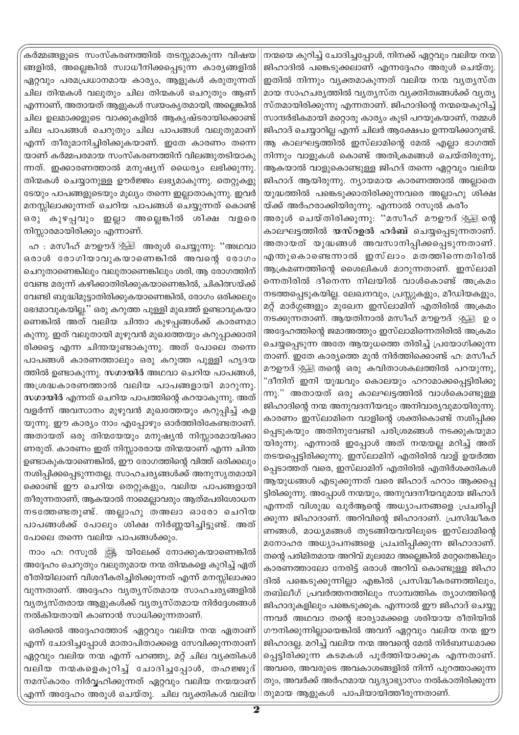കർമ്മങ്ങളുടെ സംസ്കരണത്തിൽ തടസ്സമാകുന്ന <mark>വി</mark>ഷയ ങ്ങളിൽ, അല്ലെങ്കിൽ സ്വാധീനിക്കപ്പെടുന്ന കാര്യങ്ങളിൽ ഏറ്റവും പരമപ്രധാനമായ കാര്യം, ആളുകൾ കരുതുന്നത് ചില തിന്മകൾ വലുതും ചില തിന്മകൾ ചെറുതും ആണ് എന്നാണ്, അതായത് ആളുകൾ സ്വയംകൃതമായി, അല്ലെങ്കിൽ ചില ഉലമാക്കളുടെ വാക്കുകളിൽ ആകൃഷ്ടരായിക്കൊണ്ട് ചില പാപങ്ങൾ ചെറുതും ചില പാപങ്ങൾ വലുതുമാണ് എന്ന് തീരുമാനിച്ചിരിക്കുകയാണ്. ഇതേ കാരണം തന്നെ യാണ് കർമ്മപരമായ സംസ്കരണത്തിന് വിലങ്ങുതടിയാകു ന്നത്. ഇക്കാരണത്താൽ മനുഷ്യന് ധൈര്യം ലഭിക്കുന്നു. തിന്മകൾ ചെയ്യാനുള്ള ഊർജ്ജം ലഭ്യമാകുന്നു. തെറ്റുകളു ടേയും പാപങ്ങളുടെയും മൂല്യം തന്നെ ഇല്ലാതാകുന്നു. ഇവർ മനസ്സിലാക്കുന്നത് ചെറിയ പാപങ്ങൾ ചെയ്യുന്നത് കൊണ്ട് ഒരു കുഴപ്പവും ഇല്ലാ അല്ലെങ്കിൽ ശിക്ഷ വളരെ നിസ്സാരമായിരിക്കും എന്നാണ്.

ഹ : മസീഹ് മൗഊദ് ﷺ അരുൾ ചെയ്യുന്നു: ''അഥവാ ഒരാൾ രോഗിയാവുകയാണെങ്കിൽ അവന്റെ രോഗം ചെറുതാണെങ്കിലും വലുതാണെങ്കിലും ശരി, ആ രോഗത്തിന് വേണ്ട മരുന്ന് കഴിക്കാതിരിക്കുകയാണെങ്കിൽ, ചികിത്സയ്ക്ക് വേണ്ടി ബുദ്ധിമുട്ടാതിരിക്കുകയാണെങ്കിൽ, രോഗം ഒരിക്കലും ഭേദമാവുകയില്ല.'' ഒരു കറുത്ത പുള്ളി മുഖത്ത് ഉണ്ടാവുകയാ ണെങ്കിൽ അത് വലിയ ചിന്താ കുഴപ്പങ്ങൾക്ക് കാരണമാ കുന്നു. ഇത് വലുതായി മുഴുവൻ മുഖത്തേയും കറുപ്പാക്കാതി രിക്കട്ടെ എന്ന ചിന്തയുണ്ടാകുന്നു. അത് പോലെ തന്നെ പാപങ്ങൾ കാരണത്താലും ഒരു കറുത്ത പുള്ളി ഹൃദയ ത്തിൽ ഉണ്ടാകുന്നു. <mark>സഗായിർ</mark> അഥവാ ചെറിയ പാപങ്ങൾ, അശ്രദ്ധകാരണത്താൽ വലിയ പാപങ്ങളായി മാറുന്നു. സഗായിർ എന്നത് ചെറിയ പാപത്തിന്റെ കറയാകുന്നു. അത് വളർന്ന് അവസാനം മുഴുവൻ മുഖത്തേയും കറുപ്പിച്ച് കള യുന്നു. ഈ കാര്യം നാം എപ്പോഴും ഓർത്തിരികേണ്ടതാണ്. അതായത് ഒരു തിന്മയേയും മനുഷ്യൻ നിസ്സാരമായിക്കാ ണരുത്. കാരണം ഇത് നിസ്സാരരായ തിന്മയാണ് എന്ന ചിന്ത ഉണ്ടാകുകയാണെങ്കിൽ, ഈ രോഗത്തിന്റെ വിത്ത് ഒരിക്കലും നശിപ്പിക്കപ്പെടുന്നതല്ല. സാഹചര്യങ്ങൾക്ക് അനുസൃതമായി ക്കൊണ്ട് ഈ ചെറിയ തെറ്റുകളും, വലിയ പാപങ്ങളായി തീരുന്നതാണ്, ആകയാൽ നാമെല്ലാവരും ആത്മപരിശോധന നടത്തേണ്ടതുണ്ട്. അല്ലാഹു തഅലാ ഓരോ ചെറിയ പാപങ്ങൾക്ക് പോലും ശിക്ഷ നിർണ്ണയിച്ചിട്ടുണ്ട്. അത് പോലെ തന്നെ വലിയ പാപങ്ങൾക്കും.

നാം ഹ: റസൂൽ ﷺ യിലേക്ക് നോക്കുകയാണെങ്കിൽ അദ്ദേഹം ചെറുതും വലുതുമായ നന്മ തിന്മകളെ കുറിച്ച് ഏത് രീതിയിലാണ് വിശദീകരിച്ചിരിക്കുന്നത് എന്ന് മനസ്സിലാക്കാ വുന്നതാണ്. അദ്ദേഹം വ്യത്യസ്തമായ സാഹചര്യങ്ങളിൽ വ്യത്യസ്തരായ ആളുകൾക്ക് വ്യത്യസ്തമായ നിർദ്ദേശങ്ങൾ നൽകിയതായി കാണാൻ സാധിക്കുന്നതാണ്.

ഒരിക്കൽ അദ്ദേഹത്തോട് ഏറ്റവും വലിയ നന്മ ഏതാണ് എന്ന് ചോദിച്ചപ്പോൾ മാതാപിതാക്കളെ സേവിക്കുന്നതാണ് ഏറ്റവും വലിയ നന്മ എന്ന് പറഞ്ഞു, മറ്റ് ചില വ്യക്തികൾ വലിയ നന്മകളെകുറിച്ച് ചോദിച്ചപ്പോൾ, തഹജ്ജുദ് നമസ്കാരം നിർവ്വഹിക്കുന്നത് ഏറ്റവും വലിയ നന്മയാണ് എന്ന് അദ്ദേഹം അരുൾ ചെയ്തു. ചില വ്യക്തികൾ വലിയ

നന്മയെ കുറിച്ച് ചോദിച്ചപ്പോൾ, നിനക്ക് ഏറ്റവും വലിയ നന്മ` ജിഹാദിൽ പങ്കെടുക്കലാണ് എന്നദ്ദേഹം അരുൾ ചെയ്തു. ഇതിൽ നിന്നും വൃക്തമാകുന്നത് വലിയ നന്മ വൃതൃസ്ത മായ സാഹചര്യത്തിൽ വ്യത്യസ്ത വ്യക്തിത്വങ്ങൾക്ക് വ്യത്യ സ്തമായിരിക്കുന്നു എന്നതാണ്. ജിഹാദിന്റെ നന്മയെകുറിച്ച് സാന്ദർഭികമായി മറ്റൊരു കാര്യം കൂടി പറയുകയാണ്, നമ്മൾ ജിഹാദ് ചെയ്യാറില്ല എന്ന് ചിലർ ആക്ഷേപം ഉന്നയിക്കാറുണ്ട്. ആ കാലഘട്ടത്തിൽ ഇസ്ലാമിന്റെ മേൽ എല്ലാ ഭാഗത്ത് നിന്നും വാളുകൾ കൊണ്ട് അതിക്രമങ്ങൾ ചെയ്തിരുന്നു, ആകയാൽ വാളുകൊണ്ടുള്ള ജിഹദ് തന്നെ ഏറ്റവും വലിയ ജിഹാദ് ആയിരുന്നു. ന്യായമായ കാരണത്താൽ അല്ലാതെ യുദ്ധത്തിൽ പങ്കെടുക്കാതിരിക്കുന്നവരെ അല്ലാഹു ശിക്ഷ

യ്ക്ക് അർഹരാക്കിയിരുന്നു. എന്നാൽ റസുൽ കരീം അരുൾ ചെയ്തിരിക്കുന്നു. ''മസീഹ് മൗഊദ് ൃഃക്ട്ല് ന്റെ കാലഘട്ടത്തിൽ യസ്റഉൽ ഹർബ് ചെയ്യപ്പെടുന്നതാണ്. അതായത് യുദ്ധങ്ങൾ അവസാനിപ്പിക്കപ്പെടുന്നതാണ്. എന്തുകൊണ്ടെന്നാൽ ഇസ്ലാം മതത്തിന്നെതിരിൽ ആക്രമണത്തിന്റെ ശൈലികൾ മാറുന്നതാണ്. ഇസ്ലാമി ന്നെതിരിൽ ദീനെന്ന നിലയിൽ വാൾകൊണ്ട് അക്രമം നടത്തപ്പെടുകയില്ല. ലേഖനവും, പ്രസ്സുകളും, മീഡിയകളും, മറ്റ് മാർഗ്ഗങ്ങളും മുഖേന ഇസ്ലാമിന് എതിരിൽ അക്രമം നടക്കുന്നതാണ്. ആയതിനാൽ മസീഹ് മൗഊദ് ൃഃപ്പ്ല്വ ഉം അദ്ദേഹത്തിന്റെ ജമാഅത്തും ഇസ്ലാമിന്നെതിരിൽ അക്രമം ചെയ്യപ്പെടുന്ന അതേ ആയുധത്തെ തിരിച്ച് പ്രയോഗിക്കുന്ന താണ്. ഇതേ കാര്യത്തെ മുൻ നിർത്തിക്കൊണ്ട് ഹ: മസീഹ് മൗഊദ് ﷺ തന്റെ ഒരു കവിതാശകലത്തിൽ പറയുന്നു, "ദീനിന് ഇനി യുദ്ധവും കൊലയും ഹറാമാക്കപ്പെട്ടിരിക്കു ന്നു." അതായത് ഒരു കാലഘട്ടത്തിൽ വാൾകൊണ്ടുള്ള ജിഹാദിന്റെ നന്മ അനുവദനീയവും അനിവാര്യവുമായിരുന്നു. കാരണം ഇസ്ലാമിനെ വാളിന്റെ ശക്തികൊണ്ട് നശിപ്പിക്ക പ്പെടുകയും അതിനുവേണ്ടി പരിശ്രമങ്ങൾ നടക്കുകയുമാ യിരുന്നു. എന്നാൽ ഇപ്പോൾ അത് നന്മയല്ല മറിച്ച് അത് തടയപ്പെട്ടിരിക്കുന്നു. ഇസ്ലാമിന് എതിരിൽ വാള് ഉയർത്ത പ്പെടാത്തത് വരെ, ഇസ്ലാമിന് എതിരിൽ എതിർശക്തികൾ ആയുധങ്ങൾ എടുക്കുന്നത് വരെ ജിഹാദ് ഹറാം ആക്കപ്പെ ട്ടിരിക്കുന്നു. അപ്പോൾ നന്മയും, അനുവദനീയവുമായ ജിഹാദ് എന്നത് വിശുദ്ധ ഖുർആന്റെ അധ്യാപനങ്ങളെ പ്രചരിപ്പി ക്കുന്ന ജിഹാദാണ്. അറിവിന്റെ ജിഹാദാണ്. പ്രസിദ്ധീകര ണങ്ങൾ, മാധ്യമങ്ങൾ തുടങ്ങിയവയിലൂടെ ഇസ്ലാമിന്റെ മനോഹര അധ്യാപനങ്ങളെ പ്രചരിപ്പിക്കുന്ന ജിഹാദാണ്. തന്റെ പരിമിതമായ അറിവ് മൂലമോ അല്ലെങ്കിൽ മറ്റേതെങ്കിലും കാരണത്താലോ നേരിട്ട് ഒരാൾ അറിവ് കൊണ്ടുള്ള ജിഹാ ദിൽ പങ്കെടുക്കുന്നില്ലാ എങ്കിൽ പ്രസിദ്ധീകരണത്തിലും, തബ്ലീഗ് പ്രവർത്തനത്തിലും സാമ്പത്തിക ത്യാഗത്തിന്റെ ജിഹാദുകളിലും പങ്കെടുക്കുക. എന്നാൽ ഈ ജിഹാദ് ചെയ്യു ന്നവർ അഥവാ തന്റെ ഭാര്യാമക്കളെ ശരിയായ രീതിയിൽ ഗൗനിക്കുന്നില്ലായെങ്കിൽ അവന് ഏറ്റവും വലിയ നന്മ ഈ ജിഹാദല്ല. മറിച്ച് വലിയ നന്മ അവന്റെ മേൽ നിർബന്ധമാക്ക പ്പെട്ടിരിക്കുന്ന കടമകൾ പൂർത്തിയാക്കുക എന്നതാണ്. അവരെ, അവരുടെ അവകാശങ്ങളിൽ നിന്ന് പുറത്താക്കുന്ന തും, അവർക്ക് അർഹമായ വ്യദ്യാഭ്യാസം നൽകാതിരിക്കുന്ന തുമായ ആളുകൾ പാപിയായിത്തീരുന്നതാണ്.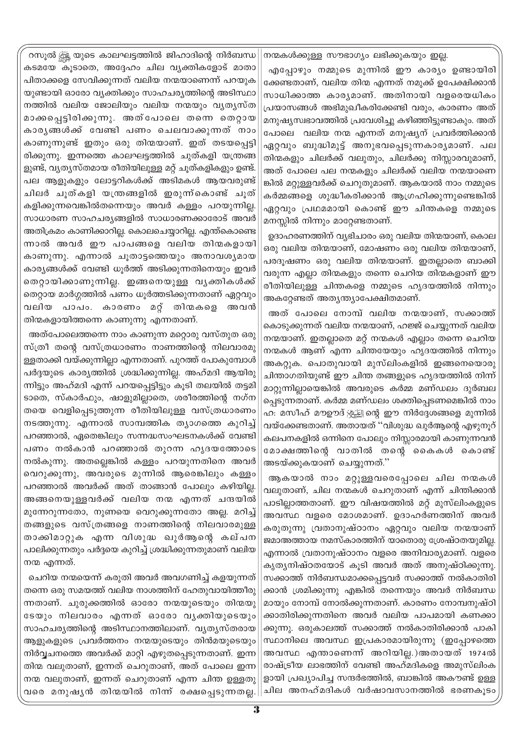റസൂൽ ക്സ്സ് യുടെ കാലഘട്ടത്തിൽ ജിഹാദിന്റെ നിർബന്ധ കടമയേ കൂടാതെ, അദ്ദേഹം ചില വ്യക്തികളോട് മാതാ പിതാക്കളെ സേവിക്കുന്നത് വലിയ നന്മയാണെന്ന് പറയുക യുണ്ടായി ഓരോ വ്യക്തിക്കും സാഹചര്യത്തിന്റെ അടിസ്ഥാ നത്തിൽ വലിയ ജോലിയും വലിയ നന്മയും വൃതൃസ്ത മാക്കപ്പെട്ടിരിക്കുന്നു. അത്പോലെ തന്നെ ത<mark>െ</mark>റ്റായ കാരൃങ്ങൾക്ക് വേണ്ടി പണം ചെലവാക്കുന്നത് നാം കാണുന്നുണ്ട് ഇതും ഒരു തിന്മയാണ്. ഇത് തടയപ്പെട്ടി രിക്കുന്നു. ഇന്നത്തെ കാലഘട്ടത്തിൽ ചുത്കളി യന്ത്രങ്ങ ളുണ്ട്, വ്യത്യസ്തമായ രീതിയിലുള്ള മറ്റ് ചുത്കളികളും ഉണ്ട്. പല ആളുകളും ലോട്ടറികൾക്ക് അടിമകൾ ആയ<mark>വ</mark>രുണ്ട് ചിലർ ചൂത്കളി യന്ത്രങ്ങളിൽ ഇരുന്ന്കൊണ്ട് ചൂത് കളിക്കുന്നവെങ്കിൽതന്നെയും അവർ കള്ളം പറയുന്നില്ല. സാധാരണ സാഹചര്യങ്ങളിൽ സാധാരണക്കാരോട് അവർ അതിക്രമം കാണിക്കാറില്ല. കൊലചെയ്യാറില്ല. എന്ത്കൊണ്ടെ ന്നാൽ അവർ ഈ പാപങ്ങളെ വലിയ തിന്മകളായി കാണുന്നു. എന്നാൽ ചുതാട്ടത്തെയും അനാവശ്യമായ കാര്യങ്ങൾക്ക് വേണ്ടി ധൂർത്ത് അടിക്കുന്നതിനെയും ഇവർ തെറ്റായിക്കാണുന്നില്ല. ഇങ്ങനെയുള്ള വൃക്തികൾക്ക് തെറ്റായ മാർഗ്ഗത്തിൽ പണം ധൂർത്തടിക്കുന്നതാണ് ഏറ്റവും വലിയ പാപം. കാരണം മറ്റ് തിന്മകളെ അവൻ തിന്മകളായിത്തന്നെ കാണുന്നു എന്നതാണ്.

അത്പോലെത്തന്നെ നാം കാണുന്ന മറ്റൊരു വസ്തുത ഒരു സ്ത്രീ തന്റെ വസ്ത്രധാരണം നാണത്തിന്റെ നിലവാരമു ള്ളതാക്കി വയ്ക്കുന്നില്ലാ എന്നതാണ്. പുറത്ത് പോകുമ്പോൾ പർദ്ദയുടെ കാര്യത്തിൽ ശ്രദ്ധിക്കുന്നില്ല. അഹ്മദി ആയിരു ന്നിട്ടും അഹ്മദി എന്ന് പറയപ്പെട്ടിട്ടും കൂടി തലയിൽ തട്ടമി ടാതെ, സ്കാർഫും, ഷാളുമില്ലാതെ, ശരീരത്തിന്റെ നഗ്ന തയെ വെളിപ്പെടുത്തുന്ന രീതിയിലുള്ള വസ്ത്രധാരണം നടത്തുന്നു. എന്നാൽ സാമ്പത്തിക ത്യാഗത്തെ കുറിച്ച് പറഞ്ഞാൽ, ഏതെങ്കിലും സന്നദ്ധസംഘടനകൾക്ക് വേണ്ടി പണം നൽകാൻ പറഞ്ഞാൽ തുറന്ന ഹൃദയത്തോടെ നൽകുന്നു. അതല്ലെങ്കിൽ കള്ളം പറയുന്നതിനെ അവർ വെറുക്കുന്നു, അവരുടെ മുന്നിൽ ആരെങ്കിലും കള്ളം പറഞ്ഞാൽ അവർക്ക് അത് താങ്ങാൻ പോലും കഴിയില്ല. അങ്ങനെയുള്ളവർക്ക് വലിയ നന്മ എന്നത് ചന്ദയിൽ മുന്നേറുന്നതോ, നുണയെ വെറുക്കുന്നതോ അല്ല. മറിച്ച് തങ്ങളുടെ വസ്ത്രങ്ങളെ നാണത്തിന്റെ നിലവാരമുള്ള താക്കിമാറ്റുക എന്ന വിശുദ്ധ ഖുർആന്റെ കല്പന പാലിക്കുന്നതും പർദ്ദയെ കുറിച്ച് ശ്രദ്ധിക്കുന്നതുമാണ് വലിയ നന്മ എന്നത്.

ചെറിയ നന്മയെന്ന് കരുതി അവർ അവഗണിച്ച് കളയുന്നത് തന്നെ ഒരു സമയത്ത് വലിയ നാശത്തിന് ഹേതുവായിത്തീരു ന്നതാണ്. ചുരുക്കത്തിൽ ഓരോ നന്മയുടെയും തിന്മയു ടേയും നിലവാരം എന്നത് ഓരോ വൃക്തിയുടെയും സാഹചര്യത്തിന്റെ അടിസ്ഥാനത്തിലാണ്. വ്യത്യസ്തരായ ആളുകളുടെ പ്രവർത്തനം നന്മയുടെയും തിൻമയുടെയും നിർവ്വചനത്തെ അവർക്ക് മാറ്റി എഴുതപ്പെടുന്നതാണ്. ഇന്ന തിന്മ വലുതാണ്, ഇന്നത് ചെറുതാണ്, അത് പോലെ ഇന്ന നന്മ വലുതാണ്, ഇന്നത് ചെറുതാണ് എന്ന ചിന്ത ഉള്ളതു വരെ മനുഷൃൻ തിന്മയിൽ നിന്ന് രക്ഷപ്പെടുന്നതല്ല.

നന്മകൾക്കുള്ള സൗഭാഗ്യം ലഭിക്കുകയും ഇല്ല. എപ്പോഴും നമ്മുടെ മുന്നിൽ ഈ കാര്യം ഉണ്ടായിരി ക്കേണ്ടതാണ്, വലിയ തിന്മ എന്നത് നമുക്ക് ഉപേക്ഷിക്കാൻ സാധിക്കാത്ത കാര്യമാണ്. അതിനായി വളരെയധികം പ്രയാസങ്ങൾ അഭിമുഖീകരിക്കേണ്ടി വരും, കാരണം അത് മനുഷ്യസ്വഭാവത്തിൽ പ്രവേശിച്ചു കഴിഞ്ഞിട്ടുണ്ടാകും. അത് പോലെ വലിയ നന്മ എന്നത് മനുഷ്യന് പ്രവർത്തിക്കാൻ ഏറ്റവും ബുദ്ധിമുട്ട് അനുഭവപ്പെടുന്നകാര്യമാണ്. പല തിന്മകളും ചിലർക്ക് വലുതും, ചിലർക്കു നിസ്സാരവുമാണ്, അത് പോലെ പല നന്മകളും ചിലർക്ക് വലിയ നന്മയാണെ ങ്കിൽ മറ്റുള്ളവർക്ക് ചെറുതുമാണ്. ആകയാൽ നാം നമ്മുടെ കർമ്മങ്ങളെ ശുദ്ധീകരിക്കാൻ ആഗ്രഹിക്കുന്നുണ്ടെങ്കിൽ ഏറ്റവും പ്രഥമമായി കൊണ്ട് ഈ ചിന്തകളെ നമ്മുടെ മനസ്സിൽ നിന്നും മാറ്റേണ്ടതാണ്.

ഉദാഹരണത്തിന് വ്യഭിചാരം ഒരു വലിയ തിന്മയാണ്, കൊല ഒരു വലിയ തിന്മയാണ്, മോഷണം ഒരു വലിയ തിന്മയാണ്, പരദൂഷണം ഒരു വലിയ തിന്മയാണ്. ഇതല്ലാതെ ബാക്കി വരുന്ന എല്ലാ തിന്മകളും തന്നെ ചെറിയ തിന്മകളാണ് ഈ രീതിയിലുള്ള ചിന്തകളെ നമ്മുടെ ഹൃദയത്തിൽ നിന്നും അകറ്റേണ്ടത് അത്യന്ത്യാപേക്ഷിതമാണ്.

അത് പോലെ നോമ്പ് വലിയ നന്മയാണ്. സക്കാത്ത് കൊടുക്കുന്നത് വലിയ നന്മയാണ്, ഹജ്ജ് ചെയ്യുന്നത് വലിയ നന്മയാണ്. ഇതല്ലാതെ മറ്റ് നന്മകൾ എല്ലാം തന്നെ ചെറിയ നന്മകൾ ആണ് എന്ന ചിന്തയേയും ഹൃദയത്തിൽ നിന്നും അകറ്റുക. പൊതുവായി മുസ്ലിംകളിൽ ഇങ്ങനെയൊരു ചിന്താഗതിയുണ്ട് ഈ ചിന്ത തങ്ങളുടെ ഹൃദയത്തിൽ നിന്ന് മാറ്റുന്നില്ലായെങ്കിൽ അവരുടെ കർമ്മ മണ്ഡലം ദുർബല പ്പെടുന്നതാണ്. കർമ്മ മണ്ഡലം ശക്തിപ്പെടണമെങ്കിൽ നാം ഹ: മസീഹ് മൗഊദ് ﷺ ന്റെ ഈ നിർദ്ദേശങ്ങളെ മുന്നിൽ വയ്ക്കേണ്ടതാണ്. അതായത് ''വിശുദ്ധ ഖുർആന്റെ എഴുനൂറ് കലപനകളിൽ ഒന്നിനെ പോലും നിസ്സാരമായി കാണുന്നവൻ മോക്ഷത്തിന്റെ വാതിൽ തന്റെ കൈകൾ കൊണ്ട് അടയ്ക്കുകയാണ് ചെയ്യുന്നത്."

ആകയാൽ നാം മറ്റുള്ളവരെപ്പോലെ ചില നന്മകൾ വലുതാണ്, ചില നന്മകൾ ചെറുതാണ് എന്ന് ചിന്തിക്കാൻ പാടില്ലാത്തതാണ്. ഈ വിഷയത്തിൽ മറ്റ് മുസ്ലിംകളുടെ അവസ്ഥ വളരെ മോശമാണ്. ഉദാഹർണത്തിന് അവർ കരുതുന്നു വ്രതാനുഷ്ഠാനം ഏറ്റവും വലിയ നന്മയാണ് ജമാഅത്തായ നമസ്കാരത്തിന് യാതൊരു ശ്രേഷ്ഠതയുമില്ല. എന്നാൽ വ്രതാനുഷ്ഠാനം വളരെ അനിവാര്യമാണ്. വളരെ കൃതൃനിഷ്ഠതയോട് കൂടി അവർ അത് അനുഷ്ഠിക്കുന്നു. സക്കാത്ത് നിർബന്ധമാക്കപ്പെട്ടവർ സക്കാത്ത് നൽകാതിരി ക്കാൻ ശ്രമിക്കുന്നു എങ്കിൽ തന്നെയും അവർ നിർബന്ധ മായും നോമ്പ് നോൽക്കുന്നതാണ്. കാരണം നോമ്പനുഷ്ഠി ക്കാതിരിക്കുന്നതിനെ അവർ വലിയ പാപമായി കണക്കാ ക്കുന്നു. ഒരുകാലത്ത് സക്കാത്ത് നൽകാതിരിക്കാൻ പാകി സ്ഥാനിലെ അവസ്ഥ ഇപ്രകാരമായിരുന്നു (ഇപ്പോഴത്തെ അവസ്ഥ എന്താണെന്ന് അറിയില്ല.)അതായത് 1974ൽ രാഷ്ട്രീയ ലാഭത്തിന് വേണ്ടി അഹ്മദികളെ അമുസ്ലിംക ളായി പ്രഖ്യാപിച്ച സന്ദർഭത്തിൽ, ബാങ്കിൽ അകൗണ്ട് ഉള്ള ചില അനഹ്മദികൾ വർഷാവസാനത്തിൽ ഭരണകൂടം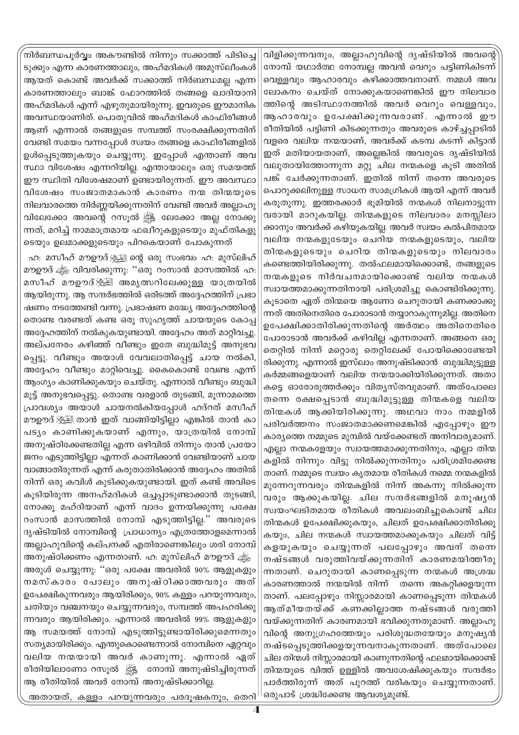വിളിക്കുന്നവനും, അല്ലാഹുവിന്റെ ദൃഷ്ടിയിൽ അവന്റെ നോമ്പ് യഥാർത്ഥ നോമ്പല്ല അവൻ വെറും പട്ടിണികിടന്ന് വെള്ളവും ആഹാരവും കഴിക്കാത്തവനാണ്. നമ്മൾ അവ ലോകനം ചെയ്ത് നോക്കുകയാണെങ്കിൽ ഈ നിലവാര ത്തിന്റെ അടിസ്ഥാനത്തിൽ അവർ വെറും വെള്ളവും, ആഹാരവും ഉപേക്ഷിക്കുന്നവരാണ്. എന്നാൽ ഈ രീതിയിൽ പട്ടിണി കിടക്കുന്നതും അവരുടെ കാഴ്ച്ചപ്പാടിൽ വളരെ വലിയ നന്മയാണ്, അവർക്ക് കടമ്പ കടന്ന് കിട്ടാൻ ഇത് മതിയായതാണ്, അല്ലെങ്കിൽ അവരുടെ ദൃഷ്ടിയിൽ വലുതായിത്തോന്നുന്ന മറ്റു ചില നന്മകളെ കൂടി അതിൽ പങ്ക് ചേർക്കുന്നതാണ്. ഇതിൽ നിന്ന് തന്നെ അവരുടെ പൊറുക്കലിനുള്ള സാധന സാമഗ്രികൾ ആയി എന്ന് അവർ കരുതുന്നു. ഇത്തരക്കാർ ഭുമിയിൽ നന്മകൾ നിലനാട്ടുന്ന വരായി മാറുകയില്ല. തിന്മകളുടെ നിലവാരം മനസ്സിലാ ക്കാനും അവർക്ക് കഴിയുകയില്ല. അവർ സ്വയം കൽപിതമായ വലിയ നന്മകളുടേയും ചെറിയ നന്മകളുടെയും, വലിയ തിന്മകളുടെയും ചെറിയ തിന്മകളുടെയും നിലവാരം കണ്ടെത്തിയിരിക്കുന്നു. തൽഫലമായിക്കൊണ്ട്, തങ്ങളുടെ നന്മകളുടെ നിർവചനമായിക്കൊണ്ട് വലിയ നന്മകൾ സ്വായത്തമാക്കുന്നതിനായി പരിശ്രമിച്ചു കൊണ്ടിരിക്കുന്നു. കൂടാതെ ഏത് തിന്മയെ ആണോ ചെറുതായി കണക്കാക്കു ന്നത് അതിനെതിരെ പോരാടാൻ തയ്യാറാകുന്നുമില്ല. അതിനെ ഉപേക്ഷിക്കാതിരിക്കുന്നതിന്റെ അർത്ഥം അതിനെതിരെ പോരാടാൻ അവർക്ക് കഴിവില്ല എന്നതാണ്. അങ്ങനെ ഒരു തെറ്റിൽ നിന്ന് മറ്റൊരു തെറ്റിലേക്ക് പോയിക്കൊണ്ടേയി രിക്കുന്നു. എന്നാൽ ഇസ്ലാം അനുഷ്ടിക്കാൻ ബുദ്ധിമുട്ടുള്ള കർമ്മങ്ങളെയാണ് വലിയ നന്മയാക്കിയിരിക്കുന്നത്. അതാ കട്ടെ ഓരോരുത്തർക്കും വിതൃസ്തവുമാണ്. അത്പോലെ തന്നെ രക്ഷപ്പെടാൻ ബുദ്ധിമുട്ടുള്ള തിന്മകളെ വലിയ തിന്മകൾ ആക്കിയിരിക്കുന്നു. അഥവാ നാം നമ്മളിൽ പരിവർത്തനം സംജാതമാക്കണമെങ്കിൽ എപ്പോഴും ഈ കാര്യത്തെ നമ്മുടെ മുമ്പിൽ വയ്ക്കേണ്ടത് അനിവാര്യമാണ്. എല്ലാ നന്മകളേയും സ്വായത്തമാക്കുന്നതിനും, എല്ലാ തിന്മ കളിൽ നിന്നും വിട്ടു നിൽക്കുന്നതിനും പരിശ്രമിക്കേണ്ട താണ്. നമ്മുടെ സ്വയം കൃതമായ രീതികൾ നമ്മെ നന്മകളിൽ മുന്നേറുന്നവരും തിന്മകളിൽ നിന്ന് അകന്നു നിൽക്കുന്ന വരും ആക്കുകയില്ല. ചില സന്ദർഭങ്ങളിൽ മനുഷ്യൻ സ്വയംഘടിതമായ രീതികൾ അവലംബിച്ചുകൊണ്ട് ചില തിന്മകൾ ഉപേക്ഷിക്കുകയും, ചിലത് ഉപേക്ഷിക്കാതിരിക്കു കയും, ചില നന്മകൾ സ്വായത്തമാക്കുകയും ചിലത് വിട്ട് കളയുകയും ചെയ്യുന്നത് പലപ്പോഴും അവന് തന്നെ നഷ്ടങ്ങൾ വരുത്തിവയ്ക്കുന്നതിന് കാരണമയിത്തീരു ന്നതാണ്. ചെറുതായി കാണപ്പെടുന്ന നന്മകൾ അശ്രദ്ധ കാരണത്താൽ നന്മയിൽ നിന്ന് തന്നെ അകറ്റിക്കളയുന്ന താണ്. പലപ്പോഴും നിസ്സാരമായി കാണപ്പെടുന്ന തിന്മകൾ ആത്മീയതയ്ക്ക് കണക്കില്ലാത്ത നഷ്ടങ്ങൾ വരുത്തി വയ്ക്കുന്നതിന് കാരണമായി ഭവിക്കുന്നതുമാണ്. അല്ലാഹു വിന്റെ അനുഗ്രഹത്തേയും പരിശുദ്ധതയേയും മനുഷ്യൻ നഷ്ടപ്പെടുത്തിക്കളയുന്നവനാകുന്നതാണ്. അത്പോലെ ചില തിന്മൾ നിസ്സാരമായി കാണുന്നതിന്റെ ഫലമായിക്കൊണ്ട് തിന്മയുടെ വിത്ത് ഉള്ളിൽ അവശേഷിക്കുകയും സന്ദർഭം പാർത്തിരുന്ന് അത് പുറത്ത് വരികയും ചെയ്യുന്നതാണ്. ഒരുപാട് ശ്രദ്ധിക്കേണ്ട ആവശ്യമുണ്ട്.

.<br>നിർബന്ധപൂർവ്വം അകൗണ്ടിൽ നിന്നും സക്കാത്ത് പിടിച്ചെ ടുക്കും എന്ന കാരണത്താലും, അഹ്മദികൾ അമുസ്ലീംകൾ ആയത് കൊണ്ട് അവർക്ക് സക്കാത്ത് നിർബന്ധമല്ല എന്ന കാരണത്താലും ബാങ്ക് ഫോറത്തിൽ തങ്ങളെ ഖാദിയാനി അഹ്മദികൾ എന്ന് എഴുതുമായിരുന്നു. ഇവരുടെ ഈമാനിക അവസ്ഥയാണിത്. പൊതുവിൽ അഹ്മദികൾ കാഫിരീങ്ങൾ ആണ് എന്നാൽ തങ്ങളുടെ സമ്പത്ത് സംരക്ഷിക്കുന്നതിന് വേണ്ടി സമയം വന്നപ്പോൾ സ്വയം തങ്ങളെ കാഫിരീങ്ങളിൽ ഉൾപ്പെടുത്തുകയും ചെയ്യുന്നു. ഇപ്പോൾ എന്താണ് അവ സ്ഥാ വിശേഷം എന്നറിയില്ല. എന്തായാലും ഒരു സമയത്ത് ഈ സ്ഥിതി വിശേഷമാണ് ഉണ്ടായിരുന്നത്. ഈ അവസ്ഥാ വിശേഷം സംജാതമാകാൻ കാരണം നന്മ തിന്മയുടെ നിലവാരത്തെ നിർണ്ണയിക്കുന്നതിന് വേണ്ടി അവർ അല്ലാഹു വിലേക്കോ അവന്റെ റസൂൽ ﷺ ലേക്കോ അല്ല നോക്കു ന്നത്, മറിച്ച് നാമമാത്രമായ ഫഖീറുകളുടെയും മുഫ്തികളു ടെയും ഉലമാക്കളുടെയും പിറകെയാണ് പോകുന്നത്

ഹ: മസീഹ് മൗഊദ് $\frac{1}{2}$ ്ട്ര്വ ന്റെ ഒരു സംഭവം ഹ: മുസ്ലിഹ് മൗഊദ് ﷺ വിവരിക്കുന്നു: ''ഒരു റംസാൻ മാസത്തിൽ ഹ: മസീഹ് മൗഊദ് ﷺ അമൃത്സറിലേക്കുള്ള യാത്രയിൽ ആയിരുന്നു. ആ സന്ദർഭത്തിൽ ഒരിടത്ത് അദ്ദേഹത്തിന് പ്രഭാ ഷണം നടത്തേണ്ടി വന്നു. പ്രഭാഷണ മദ്ധ്യേ അദ്ദേഹത്തിന്റെ തൊണ്ട വരണ്ടത് കണ്ട ഒരു സുഹൃത്ത് ചായയുടെ കോപ്പ അദ്ദേഹത്തിന് നൽകുകയുണ്ടായി. അദ്ദേഹം അത് മാറ്റിവച്ചു. അല്പനേരം കഴിഞ്ഞ് വീണ്ടും ഇതേ ബുദ്ധിമുട്ട് അനുഭവ പ്പെട്ടു. വീണ്ടും അയാൾ വേവലാതിപ്പെട്ട് ചായ നൽകി, അദ്ദേഹം വീണ്ടും മാറ്റിവെച്ചു. കൈകൊണ്ട് വേണ്ട എന്ന് ആംഗ്യം കാണിക്കുകയും ചെയ്തു. എന്നാൽ വീണ്ടും ബുദ്ധി മുട്ട് അനുഭവപ്പെട്ടു. തൊണ്ട വരളാൻ തുടങ്ങി, മൂന്നാമത്തെ പ്രാവശ്യം അയാൾ ചായനൽകിയപ്പോൾ ഹദ്റത് മസ<mark>ീ</mark>ഹ് മൗഊദ് ﷺ താൻ ഇത് വാങ്ങിയിട്ടില്ലാ എങ്കിൽ താൻ കാ പടും കാണിക്കുകയാണ് എന്നും, യാത്രയിൽ നോമ്പ് അനുഷ്ഠിക്കേണ്ടതില്ല എന്ന ഒഴിവിൽ നിന്നും താൻ പ്രയോ ജനം എടുത്തിട്ടില്ലാ എന്നത് കാണിക്കാൻ വേണ്ടിയാണ് ചായ വാങ്ങാതിരുന്നത് എന്ന് കരുതാതിരിക്കാൻ അദ്ദേഹം അതിൽ നിന്ന് ഒരു കവിൾ കുടിക്കുകയുണ്ടായി. ഇത് കണ്ട് അവിടെ കൂടിയിരുന്ന അനഹ്മദികൾ ഒച്ചപ്പാടുണ്ടാക്കാൻ തുടങ്ങി, നോക്കൂ മഹ്ദിയാണ് എന്ന് വാദം ഉന്നയിക്കുന്നു പക്ഷേ റംസാൻ മാസത്തിൽ നോമ്പ് എടുത്തിട്ടില്ല." അവരുടെ ദൃഷ്ടിയിൽ നോമ്പിന്റെ പ്രാധാന്യം എത്രത്തോളമെന്നാൽ അല്ലാഹുവിന്റെ കല്പനക്ക് എതിരാണെങ്കിലും ശരി നോമ്പ് അനുഷ്ഠിക്കണം എന്നതാണ്. ഹ. മുസ്ലിഹ് മൗഊദ് ഷ്ട്ര് അരുൾ ചെയ്യുന്നു: ''ഒരു പക്ഷേ അവരിൽ 90% ആളുകളും നമസ്കാരം പോലും അനുഷ്ഠിക്കാത്തവരും അത് ഉപേക്ഷികുന്നവരും ആയിരിക്കും, 90% കള്ളം പറയുന്നവരും, ചതിയും വഞ്ചനയും ചെയ്യുന്നവരും, സമ്പത്ത് അപഹരിക്കു ന്നവരും ആയിരിക്കും. എന്നാൽ അവരിൽ 99% ആളുകളും ആ സമയത്ത് നോമ്പ് എടുത്തിട്ടുണ്ടായിരിക്കുമെന്നതും സത്യമായിരിക്കും. എന്തുകൊണ്ടെന്നാൽ നോമ്പിനെ ഏറ്റവും വലിയ നന്മയായി അവർ കാണുന്നു. എന്നാൽ ഏത് രീതിയിലാണോ റസൂൽ ﷺ നോമ്പ് അനുഷ്ടിച്ചിരുന്നത് ആ രീതിയിൽ അവർ നോമ്പ് അനുഷ്ടിക്കാറില്ല.

അതായത്, കള്ളം പറയുന്നവരും പരദുഷകനും, തെറി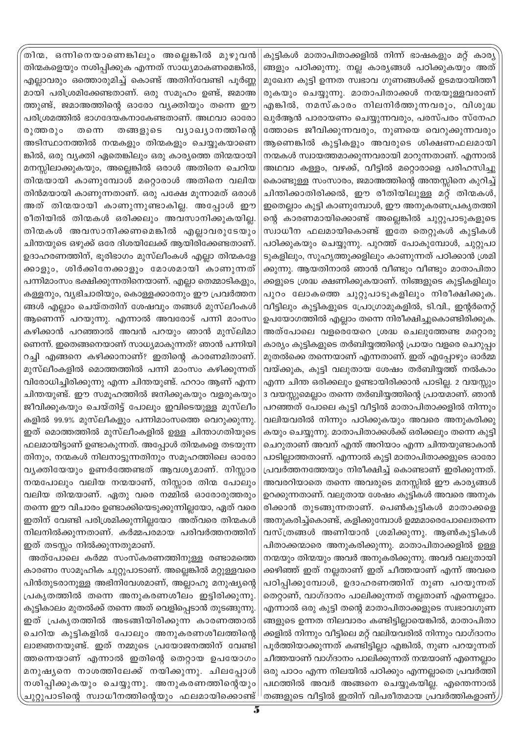കൂട്ടികൾ മാതാപിതാക്കളിൽ നിന്ന് ഭാഷകളും മറ്റ് കാര്യ ങ്ങളും പഠിക്കുന്നു. നല്ല കാര്യങ്ങൾ പഠിക്കുകയും അത് മുഖേന കുട്ടി ഉന്നത സ്വഭാവ ഗുണങ്ങൾക്ക് ഉടമയായിത്തീ രുകയും ചെയ്യുന്നു. മാതാപിതാക്കൾ നന്മയുള്ളവരാണ് എങ്കിൽ, നമസ്കാരം നിലനിർത്തുന്നവരും, വിശുദ്ധ ഖുർആൻ പാരായണം ചെയ്യുന്നവരും, പരസ്പരം സ്നേഹ ത്തോടെ ജീവിക്കുന്നവരും, നുണയെ വെറുക്കുന്നവരും ആണെങ്കിൽ കുട്ടികളും അവരുടെ ശിക്ഷണഫലമായി നന്മകൾ സ്വായത്തമാക്കുന്നവരായി മാറുന്നതാണ്. എന്നാൽ അഥവാ കള്ളം, വഴക്ക്, വീട്ടിൽ മറ്റൊരാളെ പരിഹസിച്ചു കൊണ്ടുള്ള സംസാരം, ജമാഅത്തിന്റെ അന്തസ്സിനെ കുറിച്ച് ചിന്തിക്കാതിരിക്കൽ, ഈ രീതിയിലുള്ള മറ്റ് തിന്മകൾ, ഇതെല്ലാം കുട്ടി കാണുമ്പോൾ, ഈ അനുകരണപ്രകൃതത്തി ന്റെ കാരണമായിക്കൊണ്ട് അല്ലെങ്കിൽ ചുറ്റുപാടുകളുടെ സ്വാധീന ഫലമായികൊണ്ട് ഇതേ തെറ്റുകൾ കുട്ടികൾ പഠിക്കുകയും ചെയ്യുന്നു. പുറത്ത് പോകുമ്പോൾ, ചുറ്റുപാ ടുകളിലും, സുഹൃത്തുക്കളിലും കാണുന്നത് പഠിക്കാൻ ശ്രമി ക്കുന്നു. ആയതിനാൽ ഞാൻ വീണ്ടും വീണ്ടും മാതാപിതാ ക്കളുടെ ശ്രദ്ധ ക്ഷണിക്കുകയാണ്. നിങ്ങളുടെ കുട്ടികളിലും പുറം ലോകത്തെ ചുറ്റുപാടുകളിലും നിരീക്ഷിക്കുക. വീട്ടിലും കുട്ടികളുടെ പ്രോഗ്രാമുകളിൽ, ടി.വി., ഇന്റർനെറ്റ് ഉപയോഗത്തിൽ എല്ലാം തന്നെ നിരീക്ഷിച്ചുകൊണ്ടിരിക്കുക. അത്പോലെ വളരെയേറെ ശ്രദ്ധ ചെലുത്തേണ്ട മറ്റൊരു കാര്യം കുട്ടികളുടെ തർബിയ്യത്തിന്റെ പ്രായം വളരെ ചെറുപ്പം മുതൽക്കെ തന്നെയാണ് എന്നതാണ്. ഇത് എപ്പോഴും ഓർമ്മ വയ്ക്കുക, കുട്ടി വലുതായ ശേഷം തർബിയ്യത്ത് നൽകാം എന്ന ചിന്ത ഒരിക്കലും ഉണ്ടായിരിക്കാൻ പാടില്ല. 2 വയസ്സും 3 വയസ്സുമെല്ലാം തന്നെ തർബിയ്യത്തിന്റെ പ്രായമാണ്. ഞാൻ പറഞ്ഞത് പോലെ കുട്ടി വീട്ടിൽ മാതാപിതാക്കളിൽ നിന്നും വലിയവരിൽ നിന്നും പഠിക്കുകയും അവരെ അനുകരിക്കു കയും ചെയ്യുന്നു. മാതാപിതാക്കൾക്ക് ഒരിക്കലും തന്നെ കുട്ടി ചെറുതാണ് അവന് എന്ത് അറിയാം എന്ന ചിന്തയുണ്ടാകാൻ പാടില്ലാത്തതാണ്. എന്നാൽ കുട്ടി മാതാപിതാക്കളുടെ ഓരോ പ്രവർത്തനത്തേയും നിരീക്ഷിച്ച് കൊണ്ടാണ് ഇരിക്കുന്നത്. അവരറിയാതെ തന്നെ അവരുടെ മനസ്സിൽ ഈ കാര്യങ്ങൾ ഉറക്കുന്നതാണ്. വലുതായ ശേഷം കുട്ടികൾ അവരെ അനുക രിക്കാൻ തുടങ്ങുന്നതാണ്. പെൺകുട്ടികൾ മാതാക്കളെ അനുകരിച്ച്കൊണ്ട്, കളിക്കുമ്പോൾ ഉമ്മമാരെപോലെതന്നെ വസ്ത്രങ്ങൾ അണിയാൻ ശ്രമിക്കുന്നു. ആൺകുട്ടികൾ പിതാക്കന്മാരെ അനുകരിക്കുന്നു. മാതാപിതാക്കളിൽ ഉള്ള നന്മയും തിന്മയും അവർ അനുകരിക്കുന്നു. അവർ വലുതായി ക്കഴിഞ്ഞ് ഇത് നല്ലതാണ് ഇത് ചീത്തയാണ് എന്ന് അവരെ പഠിപ്പിക്കുമ്പോൾ, ഉദാഹരണത്തിന് നുണ പറയുന്നത് തെറ്റാണ്, വാഗ്ദാനം പാലിക്കുന്നത് നല്ലതാണ് എന്നെല്ലാം. എന്നാൽ ഒരു കുട്ടി തന്റെ മാതാപിതാക്കളുടെ സ്വഭാവഗുണ ങ്ങളുടെ ഉന്നത നിലവാരം കണ്ടിട്ടില്ലായെങ്കിൽ, മാതാപിതാ ക്കളിൽ നിന്നും വീട്ടിലെ മറ്റ് വലിയവരിൽ നിന്നും വാഗ്ദാനം പൂർത്തിയാക്കുന്നത് കണ്ടിട്ടില്ലാ എങ്കിൽ, നുണ പറയുന്നത് ചീത്തയാണ് വാഗ്ദാനം പാലിക്കുന്നത് നന്മയാണ് എന്നെല്ലാം ഒരു പാഠം എന്ന നിലയിൽ പഠിക്കും എന്നല്ലാതെ പ്രവർത്തി പഥത്തിൽ അവർ അങ്ങനെ ചെയ്യുകയില്ല. എന്തെന്നാൽ തങ്ങളുടെ വീട്ടിൽ ഇതിന് വിപരീതമായ പ്രവർത്തികളാണ് $\bar{p}$ 

.<br>തിന്മ, ഒന്നിനെയാണെങ്കിലും അല്ലെങ്കിൽ മുഴുവൻ തിന്മകളെയും നശിപ്പിക്കുക എന്നത് സാധ്യമാകണമെങ്കിൽ, എല്ലാവരും ഒത്തൊരുമിച്ച് കൊണ്ട് അതിന്വേണ്ടി പൂർണ്ണ മായി പരിശ്രമിക്കേണ്ടതാണ്. ഒരു സമുഹം ഉണ്ട്, ജമാഅ ത്തുണ്ട്, ജമാഅത്തിന്റെ ഓരോ വ്യക്തിയും തന്നെ ഈ പരിശ്രമത്തിൽ ഭാഗദേയകനാകേണ്ടതാണ്. അഥവാ ഓരോ രുത്ത രൂം തന്നെ തങ്ങളുടെ വ്യാഖ്യാനത്തിന്റെ അടിസ്ഥാനത്തിൽ നന്മകളും തിന്മകളും ചെയ്യുകയാണെ ങ്കിൽ, ഒരു വ്യക്തി ഏതെങ്കിലും ഒരു കാര്യത്തെ തിന്മയായി മനസ്സിലാക്കുകയും, അല്ലെങ്കിൽ ഒരാൾ അതിനെ ചെറിയ തിന്മയായി കാണുമ്പോൾ മറ്റൊരാൾ അതിനെ വലിയ തിൻമയായി കാണുന്നതാണ്. ഒരു പക്ഷേ മൂന്നാമത് ഒരാൾ അത് തിന്മയായി കാണുന്നുണ്ടാകില്ല. അപ്പോൾ ഈ രീതിയിൽ തിന്മകൾ ഒരിക്കലും അവസാനിക്കുകയില്ല. തിന്മകൾ അവസാനിക്കണമെങ്കിൽ എല്ലാവരുടേയും ചിന്തയുടെ ഒഴുക്ക് ഒരേ ദിശയിലേക്ക് ആയിരിക്കേണ്ടതാണ്. ഉദാഹരണത്തിന്, ഭൂരിഭാഗം മുസ്ലീംകൾ എല്ലാ തിന്മകളേ ക്കാളും, ശിർക്കിനേക്കാളും മോശമായി കാണുന്നത് പന്നിമാംസം ഭക്ഷിക്കുന്നതിനെയാണ്. എല്ലാ തെമ്മാടികളും, കള്ളനും, വൃഭിചാരിയും, കൊള്ളക്കാരനും ഈ പ്രവർത്തന ങ്ങൾ എല്ലാം ചെയ്തതിന് ശേഷവും തങ്ങൾ മുസ്ലീംകൾ ആണെന്ന് പറയുന്നു. എന്നാൽ അവരോട് പന്നി മാംസം കഴിക്കാൻ പറഞ്ഞാൽ അവൻ പറയും ഞാൻ മുസ്ലിമാ ണെന്ന്. ഇതെങ്ങനെയാണ് സാധ്യമാകുന്നത്? ഞാൻ പന്നിയി റച്ചി എങ്ങനെ കഴിക്കാനാണ്? ഇതിന്റെ കാരണമിതാണ്. മുസ്ലീംകളിൽ മൊത്തത്തിൽ പന്നി മാംസം കഴിക്കുന്നത് വിരോധിച്ചിരിക്കുന്നു എന്ന ചിന്തയുണ്ട്. ഹറാം ആണ് എന്ന ചിന്തയുണ്ട്. ഈ സമൂഹത്തിൽ ജനിക്കുകയും വളരുകയും ജീവിക്കുകയും ചെയ്തിട്ട് പോലും ഇവിടെയുള്ള മുസ്ലീം കളിൽ 99.9% മുസ്ലീകളും പന്നിമാംസത്തെ വെറുക്കുന്നു. ഇത് മൊത്തത്തിൽ മുസ്ലീംകളിൽ ഉള്ള ചിന്താഗതിയുടെ ഫലമായിട്ടാണ് ഉണ്ടാകുന്നത്. അപ്പോൾ തിന്മകളെ തടയുന്ന തിനും, നന്മകൾ നിലനാട്ടുന്നതിനും സമൂഹത്തിലെ ഓരോ വൃക്തിയേയും ഉണർത്തേണ്ടത് ആവശ്യമാണ്. നിസ്സാര നന്മപോലും വലിയ നന്മയാണ്, നിസ്സാര തിന്മ പോലും വലിയ തിന്മയാണ്. ഏതു വരെ നമ്മിൽ ഓരോരുത്തരും തന്നെ ഈ വിചാരം ഉണ്ടാക്കിയെടുക്കുന്നില്ലയോ, ഏത് വരെ ഇതിന് വേണ്ടി പരിശ്രമിക്കുന്നില്ലയോ അത്വരെ തിന്മകൾ നിലനിൽക്കുന്നതാണ്. കർമ്മപരമായ പരിവർത്തനത്തിന് ഇത് തടസ്സം നിൽക്കുന്നതുമാണ്.

അത്പോലെ കർമ്മ സംസ്കരണത്തിനുള്ള രണ്ടാമത്തെ കാരണം സാമൂഹിക ചുറ്റുപാടാണ്. അല്ലെങ്കിൽ മറ്റുള്ളവരെ പിൻതുടരാനുള്ള അഭിനിവേശമാണ്, അല്ലാഹു മനുഷ്യന്റെ പ്രകൃതത്തിൽ തന്നെ അനുകരണശീലം ഇട്ടിരിക്കുന്നു. കുട്ടികാലം മുതൽക്ക് തന്നെ അത് വെളിപ്പെടാൻ തുടങ്ങുന്നു. ഇത് പ്രകൃതത്തിൽ അടങ്ങിയിരിക്കുന്ന കാരണത്താൽ ചെറിയ കുട്ടികളിൽ പോലും അനുകരണശീലത്തിന്റെ ലാജ്ഞനയുണ്ട്. ഇത് നമ്മുടെ പ്രയോജനത്തിന് വേണ്ടി ത്തന്നെയാണ് എന്നാൽ ഇതിന്റെ തെറ്റായ ഉപയോഗം മനുഷൃനെ നാശത്തിലേക്ക് നയിക്കുന്നു. ചിലപ്പോൾ നശിപ്പിക്കുകയും ചെയ്യുന്നു. അനുകരണത്തിന്റെയും ചുറ്റുപാടിന്റെ സ്വാധീനത്തിന്റെയും ഫലമായിക്കൊണ്ട്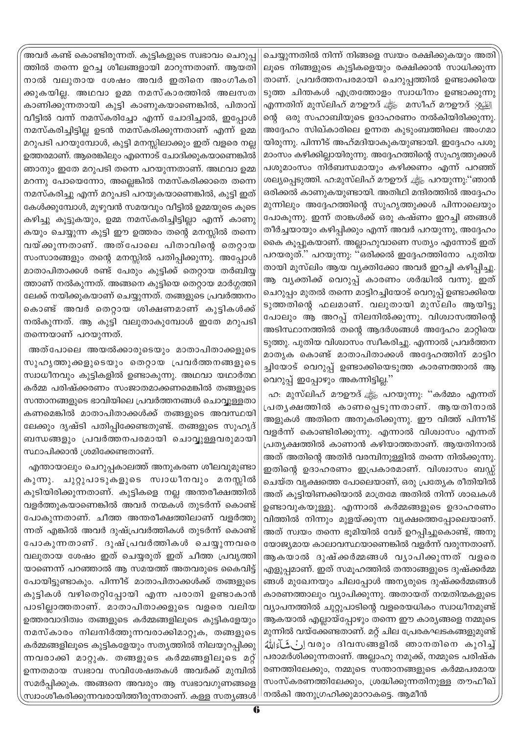.<br>അവർ കണ്ട് കൊണ്ടിരുന്നത്. കുട്ടികളുടെ സ്വഭാവം ചെറുപ്പ ത്തിൽ തന്നെ ഉറച്ച ശീലങ്ങളായി മാറുന്നതാണ്. ആയതി നാൽ വലുതായ ശേഷം അവർ ഇതിനെ അംഗീകരി ക്കുകയില്ല. അഥവാ ഉമ്മ നമസ്കാരത്തിൽ അലസത കാണിക്കുന്നതായി കുട്ടി കാണുകയാണെങ്കിൽ, പിതാവ് വീട്ടിൽ വന്ന് നമസ്കരിച്ചോ എന്ന് ചോദിച്ചാൽ, ഇപ്പോൾ നമസ്കരിച്ചിട്ടില്ല ഉടൻ നമസ്കരിക്കുന്നതാണ് എന്ന് ഉമ്മ മറുപടി പറയുമ്പോൾ, കുട്ടി മനസ്സിലാക്കും ഇത് വളരെ നല്ല ഉത്തരമാണ്. ആരെങ്കിലും എന്നൊട് ചോദിക്കുകയാണെങ്കിൽ ഞാനും ഇതേ മറുപടി തന്നെ പറയുന്നതാണ്. അഥവാ ഉമ്മ മറന്നു പോയെന്നോ, അല്ലെങ്കിൽ നമസ്കരിക്കാതെ തന്നെ നമസ്കരിച്ചു എന്ന് മറുപടി പറയുകയാണെങ്കിൽ, കുട്ടി ഇത് കേൾക്കുമ്പോൾ, മുഴുവൻ സമയവും വീട്ടിൽ ഉമ്മയുടെ കൂടെ കഴിച്ചു കൂട്ടുകയും, ഉമ്മ നമസ്കരിച്ചിട്ടില്ലാ എന്ന് കാണു കയും ചെയ്യുന്ന കുട്ടി ഈ ഉത്തരം തന്റെ മനസ്സിൽ തന്നെ വയ്ക്കുന്നതാണ്. അത്പോലെ പിതാവിന്റെ തെറ്റായ സംസാരങ്ങളും തന്റെ മനസ്സിൽ പതിപ്പിക്കുന്നു. അപ്പോൾ മാതാപിതാക്കൾ രണ്ട് പേരും കുട്ടിക്ക് തെറ്റായ തർബിയ്യ ത്താണ് നൽകുന്നത്. അങ്ങനെ കുട്ടിയെ തെറ്റായ മാർഗ്ഗത്തി ലേക്ക് നയിക്കുകയാണ് ചെയ്യുന്നത്. തങ്ങളുടെ പ്രവർത്തനം കൊണ്ട് അവർ തെറ്റായ ശിക്ഷണമാണ് കുട്ടികൾക്ക് നൽകുന്നത്. ആ കുട്ടി വലുതാകുമ്പോൾ ഇതേ മറുപടി തന്നെയാണ് പറയുന്നത്.

അത്പോലെ അയൽക്കാരുടെയും മാതാപിതാക്കളുടെ സുഹൃത്തുക്കളുടെയും തെറ്റായ പ്രവർത്തനങ്ങളുടെ സ്വാധീനവും കുട്ടികളിൽ ഉണ്ടാകുന്നു. അഥവാ യഥാർത്ഥ കർമ്മ പരിഷ്ക്കരണം സംജാതമാക്കണമെങ്കിൽ തങ്ങളുടെ സന്താനങ്ങളുടെ ഭാവിയിലെ പ്രവർത്തനങ്ങൾ ചൊവ്വുള്ളതാ കണമെങ്കിൽ മാതാപിതാക്കൾക്ക് തങ്ങളുടെ അവസ്ഥയി ലേക്കും ദൃഷ്ടി പതിപ്പിക്കേണ്ടതുണ്ട്. തങ്ങളുടെ സുഹൃദ് ബന്ധങ്ങളും പ്രവർത്തനപരമായി ചൊവ്വുള്ളവരുമായി സ്ഥാപിക്കാൻ ശ്രമിക്കേണ്ടതാണ്.

എന്തായാലും ചെറുപ്പകാലത്ത് അനുകരണ ശീലവുമുണ്ടാ കുന്നു. ചുറ്റുപാടുകളുടെ സ്വാധീനവും മനസ്സിൽ കുടിയിരിക്കുന്നതാണ്. കുട്ടികളെ നല്ല അന്തരീക്ഷത്തിൽ വളർത്തുകയാണെങ്കിൽ അവർ നന്മകൾ തുടർന്ന് കൊണ്ട് പോകുന്നതാണ്. ചീത്ത അന്തരീക്ഷത്തിലാണ് വളർത്തു ന്നത് എങ്കിൽ അവർ ദുഷ്പ്രവർത്തികൾ തുടർന്ന് കൊണ്ട് പോകുന്നതാണ്. ദുഷ്പ്രവർത്തികൾ ചെയ്യുന്നവരെ വലുതായ ശേഷം ഇത് ചെയ്യരുത് ഇത് ചീത്ത പ്രവൃത്തി യാണെന്ന് പറഞ്ഞാൽ ആ സമയത്ത് അതവരുടെ കൈവിട്ട് പോയിട്ടുണ്ടാകും. പിന്നീട് മാതാപിതാക്കൾക്ക് തങ്ങളുടെ കുട്ടികൾ വഴിതെറ്റിപ്പോയി എന്ന പരാതി ഉണ്ടാകാൻ പാടില്ലാത്തതാണ്. മാതാപിതാക്കളുടെ വളരെ വലിയ ഉത്തരവാദിത്വം തങ്ങളുടെ കർമ്മങ്ങളിലൂടെ കുട്ടികളേയും നമസ്കാരം നിലനിർത്തുന്നവരാക്കിമാറ്റുക, തങ്ങളുടെ കർമ്മങ്ങളിലൂടെ കുട്ടികളേയും സത്യത്തിൽ നിലയുറപ്പിക്കു ന്നവരാക്കി മാറ്റുക. തങ്ങളുടെ കർമ്മങ്ങളിലൂടെ മറ്റ് ഉന്നതമായ സ്വഭാവ സവിശേഷതകൾ അവർക്ക് മുമ്പിൽ സമർപ്പിക്കുക. അങ്ങനെ അവരും ആ സ്വഭാവഗുണങ്ങളെ സ്രാംശീകരിക്കുന്നവരായിത്തീരുന്നതാണ്. കള്ള സത്യങ്ങൾ

ചെയ്യുന്നതിൽ നിന്ന് നിങ്ങളെ സ്വയം രക്ഷിക്കുകയും അതി ലൂടെ നിങ്ങളുടെ കുട്ടികളെയും രക്ഷിക്കാൻ സാധിക്കുന്ന താണ്. പ്രവർത്തനപരമായി ചെറുപ്പത്തിൽ ഉണ്ടാക്കിയെ ടുത്ത ചിന്തകൾ എത്രത്തോളം സ്വാധീനം ഉണ്ടാക്കുന്നു എന്നതിന് മുസ്ലിഹ് മൗഊദ് ﷺ മസീഹ് മൗഊദ് <u>الْبَيْنِي</u>ْ എന്നതിന് മുസ്ലി ന്റെ ഒരു സഹാബിയുടെ ഉദാഹരണം നൽകിയിരിക്കുന്നു. അദ്ദേഹം സിഖ്കാരിലെ ഉന്നത കുടുംബത്തിലെ അംഗമാ യിരുന്നു. പിന്നീട് അഹ്മദിയാകുകയുണ്ടായി. ഇദ്ദേഹം പശു മാംസം കഴിക്കില്ലായിരുന്നു. അദ്ദേഹത്തിന്റെ സുഹൃത്തുക്കൾ പശുമാംസം നിർബന്ധമായും കഴിക്കണം എന്ന് പറഞ്ഞ് ശല്യപ്പെടുത്തി. ഹ:മുസ്ലിഹ് മൗഊദ് ﷺ പറയുന്നു:''ഞാൻ ഒരിക്കൽ കാണുകയുണ്ടായി. അതിഥി മന്ദിരത്തിൽ അദ്ദേഹം മുന്നിലും അദ്ദേഹത്തിന്റെ സുഹൃത്തുക്കൾ പിന്നാലെയും പോകുന്നു. ഇന്ന് താങ്കൾക്ക് ഒരു കഷ്ണം ഇറച്ചി ഞങ്ങൾ തീർച്ചയായും കഴിപ്പിക്കും എന്ന് അവർ പറയുന്നു, അദ്ദേഹം കൈ കൂപ്പുകയാണ്. അല്ലാഹുവാണെ സത്യം എന്നോട് ഇത് പറയരുത്." പറയുന്നു: "ഒരിക്കൽ ഇദ്ദേഹത്തിനോ പുതിയ തായി മുസ്ലിം ആയ വ്യക്തിക്കോ അവർ ഇറച്ചി കഴിപ്പിച്ചു. ആ വ്യക്തിക്ക് വെറുപ്പ് കാരണം ശർദ്ധിൽ വന്നു. ഇത് ചെറുപ്പം മുതൽ തന്നെ മാട്ടിറച്ചിയോട് വെറുപ്പ് ഉണ്ടാക്കിയെ ടുത്തതിന്റെ ഫലമാണ്. വലുതായി മുസ്ലിം ആയിട്ടു പോലും ആ അറപ്പ് നിലനിൽക്കുന്നു. വിശ്വാസത്തിന്റെ അടിസ്ഥാനത്തിൽ തന്റെ ആദർശങ്ങൾ അദ്ദേഹം മാറ്റിയെ ടുത്തു. പുതിയ വിശ്വാസം സ്വീകരിച്ചു. എന്നാൽ പ്രവർത്തന മാതൃക കൊണ്ട് മാതാപിതാക്കൾ അദ്ദേഹത്തിന് മാട്ടിറ ച്ചിയോട് വെറുപ്പ് ഉണ്ടാക്കിയെടുത്ത കാരണത്താൽ ആ വെറുപ്പ് ഇപ്പോഴും അകന്നിട്ടില്ല."

ഹ. മുസ്ലിഹ് മൗഊദ് ﷺ പറയുന്നു. ''കർമ്മം എന്നത് പ്രതൃക്ഷത്തിൽ കാണപ്പെടുന്നതാണ്. ആയതിനാൽ അളുകൾ അതിനെ അനുകരിക്കുന്നു. ഈ വിത്ത് പിന്നീട് വളർന്ന് കൊണ്ടിരിക്കുന്നു. എന്നാൽ വിശ്വാസം എന്നത് പ്രത്യക്ഷത്തിൽ കാണാൻ കഴിയാത്തതാണ്. ആയതിനാൽ അത് അതിന്റെ അതിർ വരമ്പിനുള്ളിൽ തന്നെ നിൽക്കുന്നു. ഇതിന്റെ ഉദാഹരണം ഇപ്രകാരമാണ്. വിശ്വാസം ബഡ്ഡ് ചെയ്ത വൃക്ഷത്തെ പോലെയാണ്, ഒരു പ്രത്യേക രീതിയിൽ അത് കൂട്ടിയിണക്കിയാൽ മാത്രമേ അതിൽ നിന്ന് ശാഖകൾ ഉണ്ടാവുകയുള്ളു. എന്നാൽ കർമ്മങ്ങളുടെ ഉദാഹരണം വിത്തിൽ നിന്നും മുളയ്ക്കുന്ന വൃക്ഷത്തെപ്പോലെയാണ്. അത് സ്വയം തന്നെ ഭൂമിയിൽ വേര് ഉറപ്പിച്ചുകൊണ്ട്, അനു യോജ്യമായ കാലാവസ്ഥയാണെങ്കിൽ വളർന്ന് വരുന്നതാണ്. ആകയാൽ ദുഷ്ക്കർമ്മങ്ങൾ വ്യാപിക്കുന്നത് വളരെ എളുപ്പമാണ്. ഇത് സമൂഹത്തിൽ തന്താങ്ങളുടെ ദുഷ്ക്കർമ്മ ങ്ങൾ മുഖേനയും ചിലപ്പോൾ അന്യരുടെ ദുഷ്ക്കർമ്മങ്ങൾ കാരണത്താലും വ്യാപിക്കുന്നു. അതായത് നന്മതിന്മകളുടെ വ്യാപനത്തിൽ ചുറ്റുപാടിന്റെ വളരെയധികം സ്വാധീനമുണ്ട് ആകയാൽ എല്ലായ്പ്പോഴും തന്നെ ഈ കാര്യങ്ങളെ നമ്മുടെ മുന്നിൽ വയ്ക്കേണ്ടതാണ്. മറ്റ് ചില പ്രേരകഘടകങ്ങളുമുണ്ട് ്ر كَشَآءَاللّٰهُ വരും ദിവസങ്ങളിൽ ഞാനതിനെ കുറിച്ച് പരാമർശിക്കുന്നതാണ്. അല്ലാഹു നമുക്ക്, നമ്മുടെ പരിഷ്ക രണത്തിലേക്കും, നമ്മുടെ സന്താനങ്ങളുടെ കർമ്മപരമായ സംസ്കരണത്തിലേക്കും, ശ്രദ്ധിക്കുന്നതിനുള്ള തൗഫീഖ് 'നൽകി അനുഗ്രഹിക്കുമാറാകട്ടെ. ആമീൻ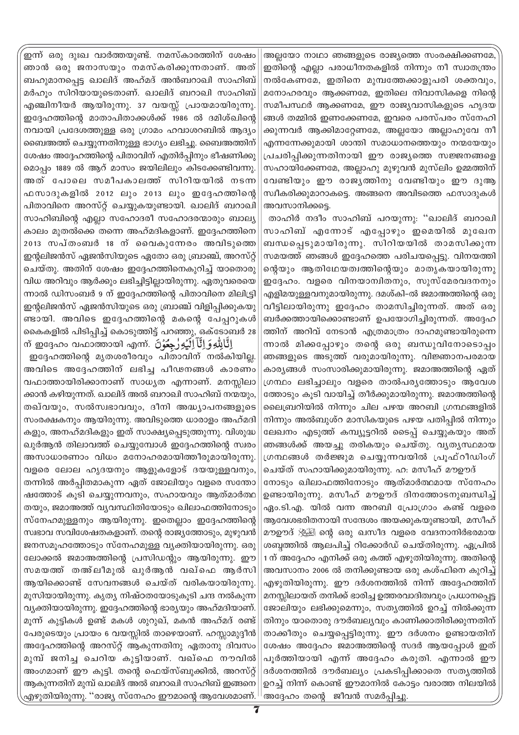അല്ലയോ നാഥാ ഞങ്ങളുടെ രാജ്യത്തെ സംരക്ഷിക്കണമേ ഇതിന്റെ എല്ലാ പരാധീനതകളിൽ നിന്നും നീ സ്വാതന്ത്രം നൽകേണമേ, ഇതിനെ മുമ്പത്തേക്കാളുപരി ശക്തവും, മനോഹരവും ആക്കണമേ, ഇതിലെ നിവാസികളെ നിന്റെ സമീപസ്ഥർ ആക്കണമേ, ഈ രാജ്യവാസികളുടെ ഹൃദയ ങ്ങൾ തമ്മിൽ ഇണക്കേണമേ, ഇവരെ പരസ്പരം സ്നേഹി ക്കുന്നവർ ആക്കിമാറ്റേണമേ, അല്ലയോ അല്ലാഹുവേ നീ എന്നന്നേക്കുമായി ശാന്തി സമാധാനത്തെയും നന്മയേയും പ്രചരിപ്പിക്കുന്നതിനായി ഈ രാജ്യത്തെ സജ്ജനങ്ങളെ സഹായിക്കേണമേ, അല്ലാഹു മുഴുവൻ മുസ്ലിം ഉമ്മത്തിന് വേണ്ടിയും ഈ രാജ്യത്തിനു വേണ്ടിയും ഈ ദുആ സ്ഥീകരിക്കുമാറാകട്ടെ. അങ്ങനെ അവിടത്തെ ഫസാദുകൾ അവസാനിക്കടെ.

താഹിർ നദീം സാഹിബ് പറയുന്നു: ''ഖാലിദ് ബറാഖി സാഹിബ് എന്നോട് എപ്പോഴും ഇമെയിൽ മുഖേന ബന്ധപ്പെടുമായിരുന്നു. സിറിയയിൽ താമസിക്കുന്ന സമയത്ത് ഞങ്ങൾ ഇദ്ദേഹത്തെ പരിചയപ്പെട്ടു. വിനയത്തി ന്റെയും ആതിഥേയത്വത്തിന്റെയും മാതൃകയായിരുന്നു ഇദ്ദേഹം. വളരെ വിനയാന്വിതനും, സുസ്മേരവദനനും എളിമയുള്ളവനുമായിരുന്നു. ദമശ്കി–ൽ ജമാഅത്തിന്റെ ഒരു വീട്ടിലായിരുന്നു ഇദ്ദേഹം താമസിച്ചിരുന്നത്. അത് ഒരു ബർക്കത്തായിക്കൊണ്ടാണ് ഉപയോഗിച്ചിരുന്നത്. അദ്ദേഹ ത്തിന് അറിവ് നേടാൻ എത്രമാത്രം ദാഹമുണ്ടായിരുന്നെ ന്നാൽ മിക്കപ്പോഴും തന്റെ ഒരു ബന്ധുവിനോടൊപ്പം ഞങ്ങളുടെ അടുത്ത് വരുമായിരുന്നു. വിജ്ഞാനപരമായ കാര്യങ്ങൾ സംസാരിക്കുമായിരുന്നു. ജമാഅത്തിന്റെ ഏത് ഗ്രന്ഥം ലഭിച്ചാലും വളരെ താൽപര്യത്തോടും ആവേശ ത്തോടും കൂടി വായിച്ച് തീർക്കുമായിരുന്നു. ജമാഅത്തിന്റെ ലൈബ്രറിയിൽ നിന്നും ചില പഴയ അറബി ഗ്രന്ഥങ്ങളിൽ നിന്നും അൽബുശ്റ മാസികയുടെ പഴയ പതിപ്പിൽ നിന്നും ലേഖനം എടുത്ത് കമ്പ്യൂട്ടറിൽ ടൈപ്പ് ചെയ്യുകയും അത് ഞങ്ങൾക്ക് അയച്ചു തരികയും ചെയ്തു. വ്യത്യസ്ഥമായ ഗ്രന്ഥങ്ങൾ തർജ്ജുമ ചെയ്യുന്നവയിൽ പ്രൂഫ്റീഡിംഗ്

ചെയ്ത് സഹായിക്കുമായിരുന്നു. ഹ. മസീഹ് മൗഊദ് നോടും ഖിലാഫത്തിനോടും ആത്മാർത്ഥമായ സ്നേഹം ഉണ്ടായിരുന്നു. മസീഹ് മൗഊദ് ദിനത്തോടനുബന്ധിച്ച് ഏം.ടി.എ. യിൽ വന്ന അറബി പ്രോഗ്രാം കണ്ട് വളരെ ആവേശഭരിതനായി സന്ദേശം അയക്കുകയുണ്ടായി, മസീഹ് മൗഊദ് ﷺ ന്റെ ഒരു ഖസീദ വളരെ വേദനാനിർഭരമായ ശബ്ദത്തിൽ ആലപിച്ച് റിക്കോർഡ് ചെയ്തിരുന്നു. ഏപ്രിൽ 1 ന് അദ്ദേഹം എനിക്ക് ഒരു കത്ത് എഴുതിയിരുന്നു. അതിന്റെ അവസാനം 2006 ൽ തനിക്കുണ്ടായ ഒരു കശ്ഫിനെ കുറിച്ച് എഴുതിയിരുന്നു. ഈ ദർശനത്തിൽ നിന്ന് അദ്ദേഹത്തിന് മനസ്സിലായത് തനിക്ക് ഭാരിച്ച ഉത്തരവാദിത്വവും പ്രധാനപ്പെട്ട ജോലിയും ലഭിക്കുമെന്നും, സതൃത്തിൽ ഉറച്ച് നിൽക്കുന്ന തിനും യാതൊരു ദൗർബല്യവും കാണിക്കാതിരിക്കുന്നതിന് താക്കീതും ചെയ്യപ്പെട്ടിരുന്നു. ഈ ദർശനം ഉണ്ടായതിന് ശേഷം അദ്ദേഹം ജമാഅത്തിന്റെ സദർ ആയപ്പോൾ ഇത് പൂർത്തിയായി എന്ന് അദ്ദേഹം കരുതി. എന്നാൽ ഈ ദർശനത്തിൽ ദൗർബല്യം പ്രകടിപ്പിക്കാതെ സതൃത്തിൽ ഉറച്ച് നിന്ന് കൊണ്ട് ഈമാനിൽ കോട്ടം വരാത്ത നിലയിൽ അദ്ദേഹം തന്റെ ജീവൻ സമർപ്പിച്ചു.

.<br>ഇന്ന് ഒരു ദുഃഖ വാർത്തയുണ്ട്. നമസ്കാരത്തിന് ശേഷം ഞാൻ ഒരു ജനാസയും നമസ്കരിക്കുന്നതാണ്. അത് ബഹുമാനപ്പെട്ട ഖാലിദ് അഹ്മദ് അൻബറാഖി സാഹിബ് മർഹും സിറിയായുടെതാണ്. ഖാലിദ് ബറാഖി സാഹിബ് എഞ്ചിനീയർ ആയിരുന്നു. 37 വയസ്സ് പ്രായമായിരുന്നു. ഇദ്ദേഹത്തിന്റെ മാതാപിതാക്കൾക്ക് 1986 ൽ ദമിശ്ഖിന്റെ നവായി പ്രദേശത്തുള്ള ഒരു ഗ്രാമം ഹവാശറബിൽ ആദ്യം ബൈഅത്ത് ചെയ്യുന്നതിനുള്ള ഭാഗ്യം ലഭിച്ചു. ബൈഅത്തിന് ശേഷം അദ്ദേഹത്തിന്റെ പിതാവിന് എതിർപ്പിനും ഭീഷണിക്കു മൊപ്പം 1889 ൽ ആറ് മാസം ജയിലിലും കിടക്കേണ്ടിവന്നു. അത് പോലെ സമീപകാലത്ത് സിറിയയിൽ നടന്ന ഫസാദുകളിൽ 2012 ലും 2013 ലും ഇദ്ദേഹത്തിന്റെ പിതാവിനെ അറസ്റ്റ് ചെയ്യുകയുണ്ടായി. ഖാലിദ് ബറാഖി സാഹിബിന്റെ എല്ലാ സഹോദരീ സഹോദരന്മാരും ബാല്യ കാലം മുതൽക്കെ തന്നെ അഹ്മദികളാണ്. ഇദ്ദേഹത്തിനെ 2013 സപ്തംബർ 18 ന് വൈകുന്നേരം അവിടുത്തെ ഇന്റലിജൻസ് ഏജൻസിയുടെ ഏതോ ഒരു ബ്രാഞ്ച്, അറസ്റ്റ് ചെയ്തു. അതിന് ശേഷം ഇദ്ദേഹത്തിനെകുറിച്ച് യാതൊരു വിധ അറിവും ആർക്കും ലഭിച്ചിട്ടില്ലായിരുന്നു. ഏതുവരെയെ ന്നാൽ ഡിസംബർ 9 ന് ഇദ്ദേഹത്തിന്റെ പിതാവിനെ മിലിട്ട്രി ഇന്റലിജൻസ് ഏജൻസിയുടെ ഒരു ബ്രാഞ്ച് വിളിപ്പിക്കുകയു ണ്ടായി. അവിടെ ഇദ്ദേഹത്തിന്റെ മകന്റെ പേപ്പറുകൾ കൈകളിൽ പിടിപ്പിച്ച് കൊടുത്തിട്ട് പറഞ്ഞു, ഒക്ടോബർ 28 اِنَّالِلُّهِ وَ اِنَّا اِلْيُهِ رِّجِعُوۡنَ ۖ എന്. ഇദ്ദേഹം വഫാത്തായി എന്

ഇദ്ദേഹത്തിന്റെ മൃതശരീരവും പിതാവിന് നൽകിയില്ല. അവിടെ അദ്ദേഹത്തിന് ലഭിച്ച പീഢനങ്ങൾ കാരണം വഫാത്തായിരിക്കാനാണ് സാധൃത എന്നാണ്. മനസ്സിലാ ക്കാൻ കഴിയുന്നത്. ഖാലിദ് അൽ ബറാഖി സാഹിബ് നന്മയും, തഖ്വയും, സൽസ്വഭാവവും, ദീനി അദ്ധ്യാപനങ്ങളുടെ സംരക്ഷകനും ആയിരുന്നു. അവിടുത്തെ ധാരാളം അഹ്മദി കളും, അനഹ്മദികളും ഇത് സാക്ഷ്യപ്പെടുത്തുന്നു. വിശുദ്ധ ഖുർആൻ തിലാവത്ത് ചെയ്യുമ്പോൾ ഇദ്ദേഹത്തിന്റെ സ്വരം അസാധാരണാം വിധം മനോഹരമായിത്തീരുമായിരുന്നു. വളരെ ലോല ഹൃദയനും ആളുകളോട് ദയയുള്ളവനും, തന്നിൽ അർപിതമാകുന്ന ഏത് ജോലിയും വളരെ സന്തോ ഷത്തോട് കൂടി ചെയ്യുന്നവനും, സഹായവും ആത്മാർത്ഥ തയും, ജമാഅത്ത് വൃവസ്ഥിതിയോടും ഖിലാഫത്തിനോടും സ്നേഹമുള്ളനും ആയിരുന്നു. ഇതെല്ലാം ഇദ്ദേഹത്തിന്റെ സ്വഭാവ സവിശേഷതകളാണ്. തന്റെ രാജ്യത്തോടും, മുഴുവൻ ജനസമൂഹത്തോടും സ്നേഹമുള്ള വ്യക്തിയായിരുന്നു. ഒരു ലോക്കൽ ജമാഅത്തിന്റെ പ്രസിഡന്റും ആയിരുന്നു. ഈ സമയത്ത് തഅ്ലീമുൽ ഖുർആൻ വഖ്ഫെ ആർസി ആയിക്കൊണ്ട് സേവനങ്ങൾ ചെയ്ത് വരികയായിരുന്നു. മൂസിയായിരുന്നു. കൃത്യ നിഷ്ഠതയോടുകൂടി ചന്ദ നൽകുന്ന വ്യക്തിയായിരുന്നു. ഇദ്ദേഹത്തിന്റെ ഭാര്യയും അഹ്മദിയാണ്. മൂന്ന് കുട്ടികൾ ഉണ്ട് മകൾ ശുറുഖ്, മകൻ അഹ്മദ് രണ്ട് പേരുടെയും പ്രായം 6 വയസ്സിൽ താഴെയാണ്. ഹസ്സാമുദ്ദീൻ അദ്ദേഹത്തിന്റെ അറസ്റ്റ് ആകുന്നതിനു ഏതാനു ദിവസം മുമ്പ് ജനിച്ച ചെറിയ കുട്ടിയാണ്. വഖ്ഫെ നൗവിൽ അംഗമാണ് ഈ കുട്ടി. തന്റെ ഫെയ്സ്ബുക്കിൽ, അറസ്റ്റ് ആകുന്നതിന് മുമ്പ് ഖാലിദ് അൽ ബറാഖി സാഹിബ് ഇങ്ങനെ എഴുതിയിരുന്നു. ''രാജ്യ സ്നേഹം ഈമാന്റെ ആവേശമാണ്.